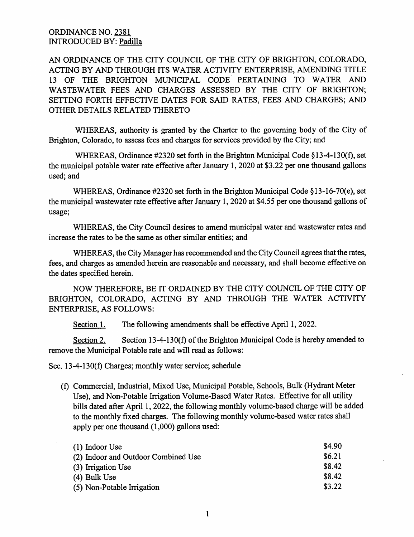## ORDINANCE NO. 2381 INTRODUCED BY: Padilla

AN ORDINANCE OF THE CITY COUNCIL OF THE CITY OF BRIGHTON, COLORADO, ACTING BY AND THROUGH ITS WATER ACTIVITY ENTERPRISE, AMENDING TITLE 13 OF THE BRIGHTON MUNICIPAL CODE PERTAINING TO WATER AND WASTEWATER FEES AND CHARGES ASSESSED BY THE CITY OF BRIGHTON; SETTING FORTH EFFECTIVE DATES FOR SAID RATES, FEES AND CHARGES; AND OTHER DETAILS RELATED THERETO

WHEREAS, authority is granted by the Charter to the governing body of the City of Brighton, Colorado, to assess fees and charges for services provided by the City; and

WHEREAS, Ordinance #2320 set forth in the Brighton Municipal Code §13-4-130(f), set the municipal potable water rate effective after January 1, 2020 at \$3.22 per one thousand gallons used; and

WHEREAS, Ordinance #2320 set forth in the Brighton Municipal Code §13-16-70(e), set the municipal wastewater rate effective after January 1,2020 at \$4.55 per one thousand gallons of usage;

WHEREAS, the City Council desires to amend municipal water and wastewater rates and increase the rates to be the same as other similar entities; and

WHEREAS, the City Manager has recommended and the City Council agrees that the rates, fees, and charges as amended herein are reasonable and necessary, and shall become effective on the dates specified herein.

NOW THEREFORE, BE IT ORDAINED BY THE CITY COUNCIL OF THE CITY OF BRIGHTON, COLORADO, ACTING BY AND THROUGH THE WATER ACTIVITY ENTERPRISE, AS FOLLOWS:

Section 1. The following amendments shall be effective April 1, 2022.

Section 13-4-130(f) of the Brighton Municipal Code is hereby amended to remove the Municipal Potable rate and will read as follows: Section 2.

Sec. 13-4-130(f) Charges; monthly water service; schedule

(f) Commercial, Industrial, Mixed Use, Municipal Potable, Schools, Bulk (Hydrant Meter Use), and Non-Potable Irrigation Volume-Based Water Rates. Effective for all utility bills dated after April 1, 2022, the following monthly volume-based charge will be added to the monthly fixed charges. The following monthly volume-based water rates shall apply per one thousand (1,000) gallons used:

| $(1)$ Indoor Use                    | \$4.90 |
|-------------------------------------|--------|
| (2) Indoor and Outdoor Combined Use | \$6.21 |
| (3) Irrigation Use                  | \$8.42 |
| $(4)$ Bulk Use                      | \$8.42 |
| (5) Non-Potable Irrigation          | \$3.22 |